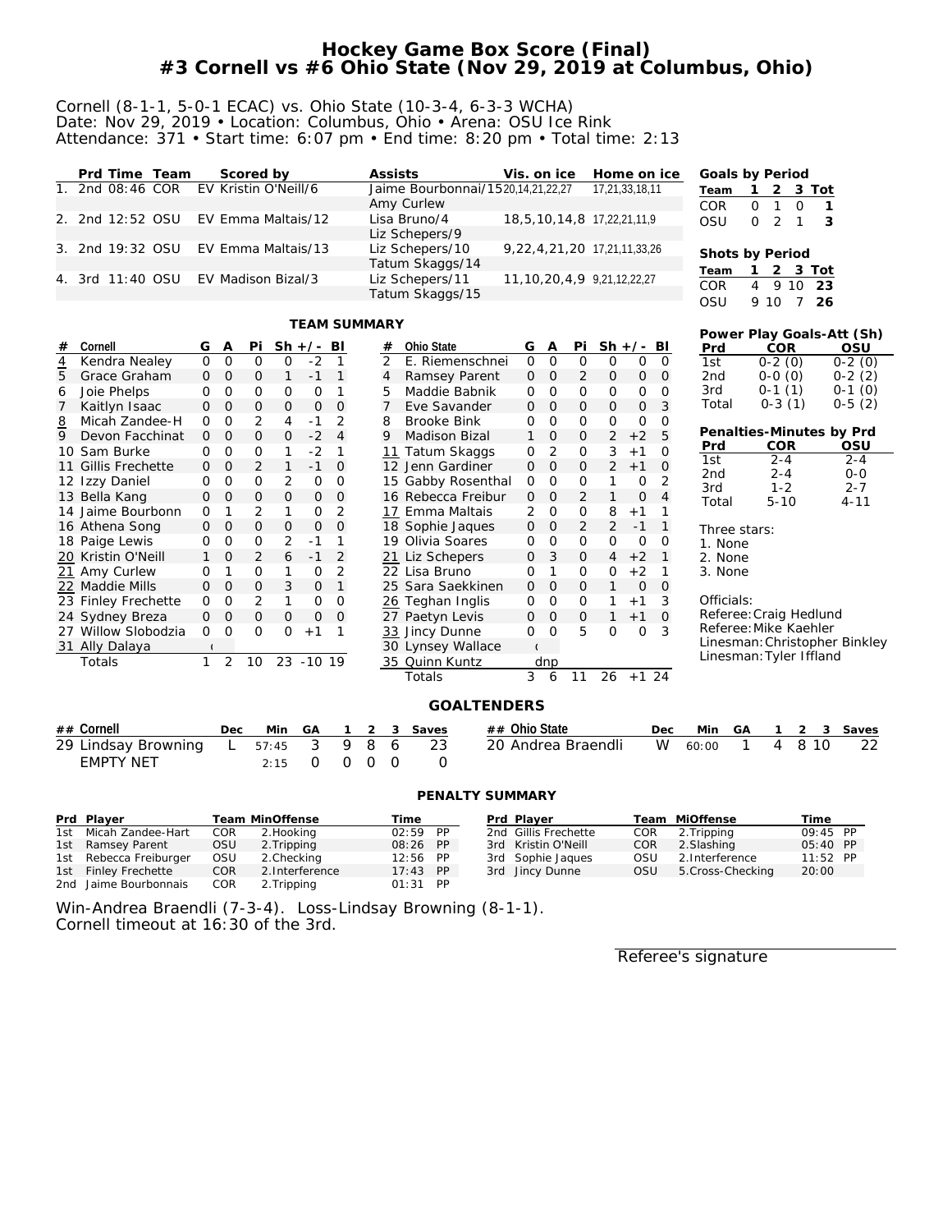## **Hockey Game Box Score (Final) #3 Cornell vs #6 Ohio State (Nov 29, 2019 at Columbus, Ohio)**

#### Cornell (8-1-1, 5-0-1 ECAC) vs. Ohio State (10-3-4, 6-3-3 WCHA) Date: Nov 29, 2019 • Location: Columbus, Ohio • Arena: OSU Ice Rink Attendance: 371 • Start time: 6:07 pm • End time: 8:20 pm • Total time: 2:13

| Prd Time Team    | Scored by                             | Assists                                         | Vis. on ice                         | Home on ice    | Goals by Period                                                |
|------------------|---------------------------------------|-------------------------------------------------|-------------------------------------|----------------|----------------------------------------------------------------|
|                  | 1. 2nd 08:46 COR EV Kristin O'Neill/6 | Jaime Bourbonnai/1520,14,21,22,27<br>Amy Curlew |                                     | 17,21,33,18,11 | Team 1 2 3 Tot<br>COR.<br>$\Omega$<br>$\Omega$                 |
|                  | 2. 2nd 12:52 OSU EV Emma Maltais/12   | Lisa Bruno/4<br>Liz Schepers/9                  | 18,5,10,14,8 17,22,21,11,9          |                | OSU<br>$0\quad 2$<br>- 3                                       |
|                  | 3. 2nd 19:32 OSU EV Emma Maltais/13   | Liz Schepers/10<br>Tatum Skaggs/14              | 9, 22, 4, 21, 20 17, 21, 11, 33, 26 |                | Shots by Period                                                |
| 4. 3rd 11:40 OSU | EV Madison Bizal/3                    | Liz Schepers/11<br>Tatum Skaggs/15              | 11, 10, 20, 4, 9, 9, 21, 12, 22, 27 |                | Team 1 2 3 Tot<br>COR.<br>4 9 10<br>- 23<br>OSU<br>9 1 0<br>26 |

#### **TEAM SUMMARY**

|                 |                     |              |                |              |              | I EAM SUMMARY |                |   |                |                          |              |                |                |                |              |                |            |                         |                       |                |    | Power Play Goals-Att (Sh)     |
|-----------------|---------------------|--------------|----------------|--------------|--------------|---------------|----------------|---|----------------|--------------------------|--------------|----------------|----------------|----------------|--------------|----------------|------------|-------------------------|-----------------------|----------------|----|-------------------------------|
| #               | Cornell             | G            | Α              | Pi           | $Sh +/-$     |               | BI             |   | #              | Ohio State               | G            | Α              | Pi             | $Sh +/- BI$    |              |                | Prd        |                         | <b>COR</b>            |                |    | OSU                           |
| $\overline{4}$  | Kendra Nealey       | $\Omega$     | $\mathbf 0$    | 0            | 0            | $-2$          | 1              |   | $\overline{2}$ | E. Riemenschnei          | $\mathbf{O}$ | 0              | 0              | $\Omega$       | 0            | $\overline{0}$ | 1st        |                         | $0-2(0)$              |                |    | $0-2(0)$                      |
| 5               | Grace Graham        | $\mathbf{O}$ | $\mathbf 0$    | 0            | $\mathbf{1}$ | $-1$          | $\mathbf{1}$   |   | 4              | Ramsey Parent            | 0            | $\mathbf 0$    | 2              | $\mathsf{O}$   | 0            | $\mathbf{O}$   | 2nd        |                         | $0-0(0)$              |                |    | $0-2(2)$                      |
| 6               | Joie Phelps         | 0            | $\circ$        | $\mathbf 0$  | 0            | O             | 1              |   | 5              | Maddie Babnik            | O            | $\circ$        | 0              | 0              | 0            | $\mathbf 0$    | 3rd        |                         | $0-1(1)$              |                |    | $0-1(0)$                      |
|                 | Kaitlyn Isaac       | 0            | $\circ$        | $\mathbf{0}$ | 0            | $\mathbf{O}$  | $\Omega$       |   | 7              | Eve Savander             | 0            | $\Omega$       | 0              | 0              | $\mathbf{O}$ | 3              | Total      |                         | $0-3(1)$              |                |    | $0-5(2)$                      |
| $\underline{8}$ | Micah Zandee-H      | O            | $\circ$        | 2            | 4            | $-1$          | 2              |   | 8              | <b>Brooke Bink</b>       | O            | $\circ$        | 0              | $\mathbf 0$    | O            | $\Omega$       |            |                         |                       |                |    |                               |
| 9               | Devon Facchinat     | 0            | $\mathbf 0$    | $\mathbf 0$  | 0            | $-2$          | $\overline{4}$ |   | 9              | <b>Madison Bizal</b>     | $\mathbf{1}$ | $\circ$        | 0              | $\overline{2}$ | $+2$         | 5              |            |                         |                       |                |    | Penalties-Minutes by Prd      |
|                 | 10 Sam Burke        | 0            | $\mathcal{O}$  | $\circ$      |              | $-2$          | 1              |   |                | Tatum Skaggs             | O            | $\overline{2}$ | 0              | 3              | $+1$         | $\mathbf 0$    | Prd        |                         | <b>COR</b><br>$2 - 4$ |                |    | OSU                           |
| 11              | Gillis Frechette    | 0            | 0              | 2            | $\mathbf{1}$ | $-1$          | 0              |   |                | 12 Jenn Gardiner         | 0            | $\mathbf 0$    | 0              | $\overline{2}$ | $+1$         | $\overline{0}$ | 1st<br>2nd |                         | $2 - 4$               |                |    | $2 - 4$<br>$0 - 0$            |
|                 | 12 Izzy Daniel      | 0            | $\circ$        | $\circ$      | 2            | 0             | $\mathbf 0$    |   |                | 15 Gabby Rosenthal       | 0            | $\circ$        | 0              | 1              | 0            | 2              | 3rd        |                         | $1 - 2$               |                |    | $2 - 7$                       |
|                 | 13 Bella Kang       | O            | O              | $\mathsf{O}$ | $\mathbf{O}$ | $\mathbf{O}$  | $\Omega$       |   |                | 16 Rebecca Freibur       | $\mathbf{O}$ | $\Omega$       | 2              | 1              | 0            | 4              | Total      |                         | $5 - 10$              |                |    | $4 - 11$                      |
|                 | 14 Jaime Bourbonn   | $\mathbf 0$  | 1              | 2            | 1            | 0             | 2              |   |                | 17 Emma Maltais          | 2            | 0              | 0              | 8              | $+1$         | 1              |            |                         |                       |                |    |                               |
|                 | 16 Athena Song      | 0            | $\mathbf 0$    | $\mathbf 0$  | $\mathbf{O}$ | $\mathbf 0$   | $\mathbf 0$    |   |                | 18 Sophie Jaques         | $\mathbf 0$  | $\mathbf 0$    | $\overline{2}$ | $\overline{2}$ | $-1$         | $\mathbf{1}$   |            | Three stars:            |                       |                |    |                               |
|                 | 18 Paige Lewis      | 0            | $\mathcal{O}$  | $\circ$      | 2            | $-1$          | 1              |   |                | 19 Olivia Soares         | 0            | 0              | 0              | O              | 0            | 0              | 1. None    |                         |                       |                |    |                               |
|                 | 20 Kristin O'Neill  | $\mathbf{1}$ | 0              | 2            | 6            | $-1$          | $\overline{2}$ |   |                | 21 Liz Schepers          | 0            | 3              | 0              | $\overline{4}$ | $+2$         | $\mathbf{1}$   | 2. None    |                         |                       |                |    |                               |
|                 | Amy Curlew          | 0            |                | 0            |              | 0             | 2              |   |                | 22 Lisa Bruno            | 0            | 1              | 0              | 0              | $+2$         | 1              | 3. None    |                         |                       |                |    |                               |
|                 | 22 Maddie Mills     | 0            | $\mathbf 0$    | $\mathsf{O}$ | 3            | $\mathbf{O}$  | $\mathbf{1}$   |   |                | 25 Sara Saekkinen        | 0            | $\Omega$       | 0              | $\mathbf{1}$   | 0            | 0              |            |                         |                       |                |    |                               |
|                 | 23 Finley Frechette | 0            | $\circ$        | 2            | 1            | $\circ$       | $\Omega$       |   |                | 26 Teghan Inglis         | O            | $\circ$        | 0              | 1              | $+1$         | 3              | Officials: |                         |                       |                |    |                               |
|                 | 24 Sydney Breza     | 0            | $\mathbf 0$    | $\mathsf{O}$ | $\mathbf{O}$ | $\mathbf 0$   | $\Omega$       |   |                | 27 Paetyn Levis          | $\mathbf 0$  | $\circ$        | 0              | 1              | $+1$         | $\Omega$       |            | Referee: Craig Hedlund  |                       |                |    |                               |
| 27              | Willow Slobodzia    | 0            | $\circ$        | 0            | 0            | $+1$          | 1              |   |                | 33 Jincy Dunne           | O            | $\mathbf 0$    | 5              | $\circ$        | O            | 3              |            | Referee: Mike Kaehler   |                       |                |    |                               |
|                 | 31 Ally Dalaya      |              |                |              |              |               |                |   |                | 30 Lynsey Wallace        |              |                |                |                |              |                |            |                         |                       |                |    | Linesman: Christopher Binkley |
|                 | Totals              | 1            | $\overline{2}$ | 10           |              | 23 - 10 19    |                |   |                | 35 Quinn Kuntz           |              | dnp            |                |                |              |                |            | Linesman: Tyler Iffland |                       |                |    |                               |
|                 |                     |              |                |              |              |               |                |   |                | Totals                   | 3            | 6              | 11             | 26             | $+1$ 24      |                |            |                         |                       |                |    |                               |
|                 |                     |              |                |              |              |               |                |   |                |                          |              |                |                |                |              |                |            |                         |                       |                |    |                               |
|                 |                     |              |                |              |              |               |                |   |                | <b>GOALTENDERS</b>       |              |                |                |                |              |                |            |                         |                       |                |    |                               |
| $##$ Cornell    |                     |              | Dec            |              | Min          | GA            | 1              | 2 | 3              | ## Ohio State<br>Saves   |              |                |                |                |              | Dec            | Min        | GA                      | 1                     | $\overline{2}$ | 3  | Saves                         |
|                 | 29 Lindsay Browning |              | L              | 57:45        |              | 3             | 9              | 8 | 6              | 23<br>20 Andrea Braendli |              |                |                |                |              | W              | 60:00      | 1                       | 4                     | 8              | 10 | 22                            |
|                 | <b>EMPTY NET</b>    |              |                |              | 2:15         | 0             | 0              | O | 0              | 0                        |              |                |                |                |              |                |            |                         |                       |                |    |                               |
|                 |                     |              |                |              |              |               |                |   |                |                          |              |                |                |                |              |                |            |                         |                       |                |    |                               |
|                 |                     |              |                |              |              |               |                |   |                | PENALTY SUMMARY          |              |                |                |                |              |                |            |                         |                       |                |    |                               |

| Prd Plaver             |      | Team MinOffense | Time       |  | Prd Plaver           |     | Team MiOffense    | Time       |  |
|------------------------|------|-----------------|------------|--|----------------------|-----|-------------------|------------|--|
| 1st Micah Zandee-Hart  | COR  | 2. Hooking      | $02:59$ PP |  | 2nd Gillis Frechette | COR | 2. Tripping       | 09:45 PP   |  |
| 1st Ramsey Parent      | OSU  | 2. Tripping     | 08:26 PP   |  | 3rd Kristin O'Neill  | COR | 2. Slashing       | $05:40$ PP |  |
| 1st Rebecca Freiburger | OSU  | 2. Checking     | $12:56$ PP |  | 3rd Sophie Jaques    | OSU | 2. Interference   | $11:52$ PP |  |
| 1st Finley Frechette   | COR. | 2. Interference | $17:43$ PP |  | 3rd Jincy Dunne      | OSU | 5. Cross-Checking | 20:00      |  |
| 2nd Jaime Bourbonnais  | COR. | 2. Tripping     | $01:31$ PP |  |                      |     |                   |            |  |

Win-Andrea Braendli (7-3-4). Loss-Lindsay Browning (8-1-1). Cornell timeout at 16:30 of the 3rd.

Referee's signature